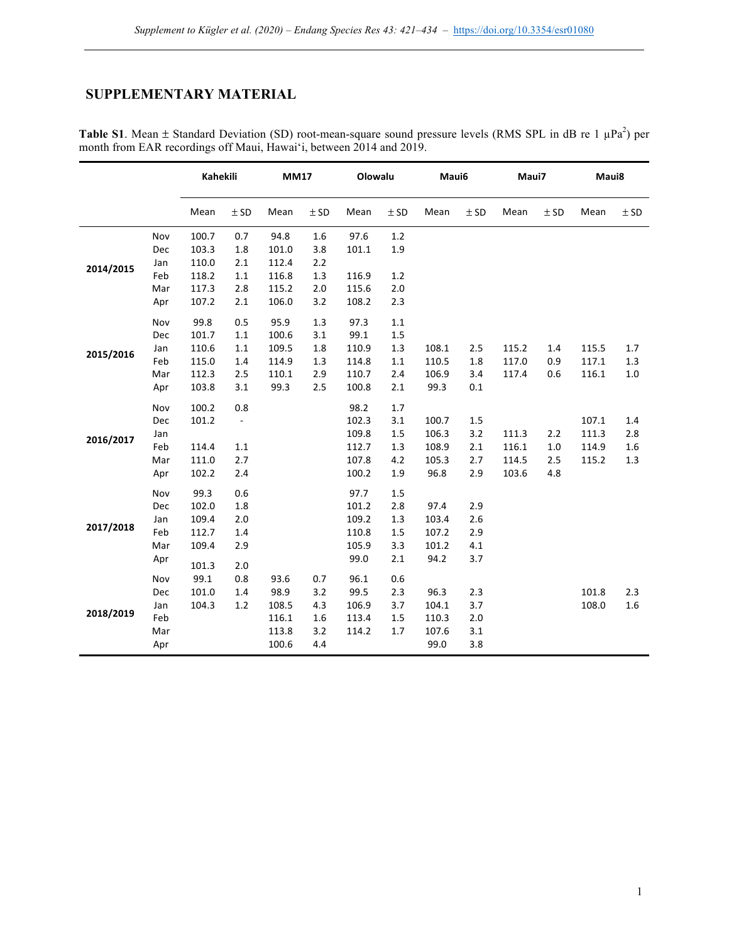## **SUPPLEMENTARY MATERIAL**

|           |     |       | Kahekili |       | <b>MM17</b> |       | Olowalu |       | Maui6  |       | Maui7    |       | Maui8   |  |
|-----------|-----|-------|----------|-------|-------------|-------|---------|-------|--------|-------|----------|-------|---------|--|
|           |     | Mean  | ± SD     | Mean  | $±$ SD      | Mean  | $±$ SD  | Mean  | $±$ SD | Mean  | $\pm$ SD | Mean  | $±$ SD  |  |
| 2014/2015 | Nov | 100.7 | 0.7      | 94.8  | 1.6         | 97.6  | $1.2\,$ |       |        |       |          |       |         |  |
|           | Dec | 103.3 | 1.8      | 101.0 | 3.8         | 101.1 | $1.9\,$ |       |        |       |          |       |         |  |
|           | Jan | 110.0 | 2.1      | 112.4 | 2.2         |       |         |       |        |       |          |       |         |  |
|           | Feb | 118.2 | $1.1\,$  | 116.8 | 1.3         | 116.9 | $1.2\,$ |       |        |       |          |       |         |  |
|           | Mar | 117.3 | 2.8      | 115.2 | 2.0         | 115.6 | 2.0     |       |        |       |          |       |         |  |
|           | Apr | 107.2 | 2.1      | 106.0 | 3.2         | 108.2 | 2.3     |       |        |       |          |       |         |  |
| 2015/2016 | Nov | 99.8  | 0.5      | 95.9  | 1.3         | 97.3  | 1.1     |       |        |       |          |       |         |  |
|           | Dec | 101.7 | 1.1      | 100.6 | 3.1         | 99.1  | 1.5     |       |        |       |          |       |         |  |
|           | Jan | 110.6 | 1.1      | 109.5 | 1.8         | 110.9 | 1.3     | 108.1 | 2.5    | 115.2 | 1.4      | 115.5 | 1.7     |  |
|           | Feb | 115.0 | 1.4      | 114.9 | 1.3         | 114.8 | $1.1\,$ | 110.5 | 1.8    | 117.0 | 0.9      | 117.1 | 1.3     |  |
|           | Mar | 112.3 | 2.5      | 110.1 | 2.9         | 110.7 | 2.4     | 106.9 | 3.4    | 117.4 | 0.6      | 116.1 | $1.0\,$ |  |
|           | Apr | 103.8 | 3.1      | 99.3  | 2.5         | 100.8 | 2.1     | 99.3  | 0.1    |       |          |       |         |  |
| 2016/2017 | Nov | 100.2 | 0.8      |       |             | 98.2  | 1.7     |       |        |       |          |       |         |  |
|           | Dec | 101.2 | $\Box$   |       |             | 102.3 | 3.1     | 100.7 | 1.5    |       |          | 107.1 | 1.4     |  |
|           | Jan |       |          |       |             | 109.8 | 1.5     | 106.3 | 3.2    | 111.3 | 2.2      | 111.3 | 2.8     |  |
|           | Feb | 114.4 | 1.1      |       |             | 112.7 | 1.3     | 108.9 | 2.1    | 116.1 | 1.0      | 114.9 | 1.6     |  |
|           | Mar | 111.0 | 2.7      |       |             | 107.8 | 4.2     | 105.3 | 2.7    | 114.5 | 2.5      | 115.2 | $1.3\,$ |  |
|           | Apr | 102.2 | 2.4      |       |             | 100.2 | $1.9\,$ | 96.8  | 2.9    | 103.6 | 4.8      |       |         |  |
| 2017/2018 | Nov | 99.3  | 0.6      |       |             | 97.7  | 1.5     |       |        |       |          |       |         |  |
|           | Dec | 102.0 | 1.8      |       |             | 101.2 | 2.8     | 97.4  | 2.9    |       |          |       |         |  |
|           | Jan | 109.4 | 2.0      |       |             | 109.2 | 1.3     | 103.4 | 2.6    |       |          |       |         |  |
|           | Feb | 112.7 | 1.4      |       |             | 110.8 | 1.5     | 107.2 | 2.9    |       |          |       |         |  |
|           | Mar | 109.4 | 2.9      |       |             | 105.9 | 3.3     | 101.2 | 4.1    |       |          |       |         |  |
|           | Apr | 101.3 | 2.0      |       |             | 99.0  | 2.1     | 94.2  | 3.7    |       |          |       |         |  |
|           | Nov | 99.1  | 0.8      | 93.6  | 0.7         | 96.1  | 0.6     |       |        |       |          |       |         |  |
|           | Dec | 101.0 | 1.4      | 98.9  | 3.2         | 99.5  | 2.3     | 96.3  | 2.3    |       |          | 101.8 | 2.3     |  |
| 2018/2019 | Jan | 104.3 | 1.2      | 108.5 | 4.3         | 106.9 | 3.7     | 104.1 | 3.7    |       |          | 108.0 | 1.6     |  |
|           | Feb |       |          | 116.1 | 1.6         | 113.4 | 1.5     | 110.3 | 2.0    |       |          |       |         |  |
|           | Mar |       |          | 113.8 | 3.2         | 114.2 | 1.7     | 107.6 | 3.1    |       |          |       |         |  |
|           | Apr |       |          | 100.6 | 4.4         |       |         | 99.0  | 3.8    |       |          |       |         |  |

**Table S1**. Mean  $\pm$  Standard Deviation (SD) root-mean-square sound pressure levels (RMS SPL in dB re 1  $\mu$ Pa<sup>2</sup>) per month from EAR recordings off Maui, Hawaiʻi, between 2014 and 2019.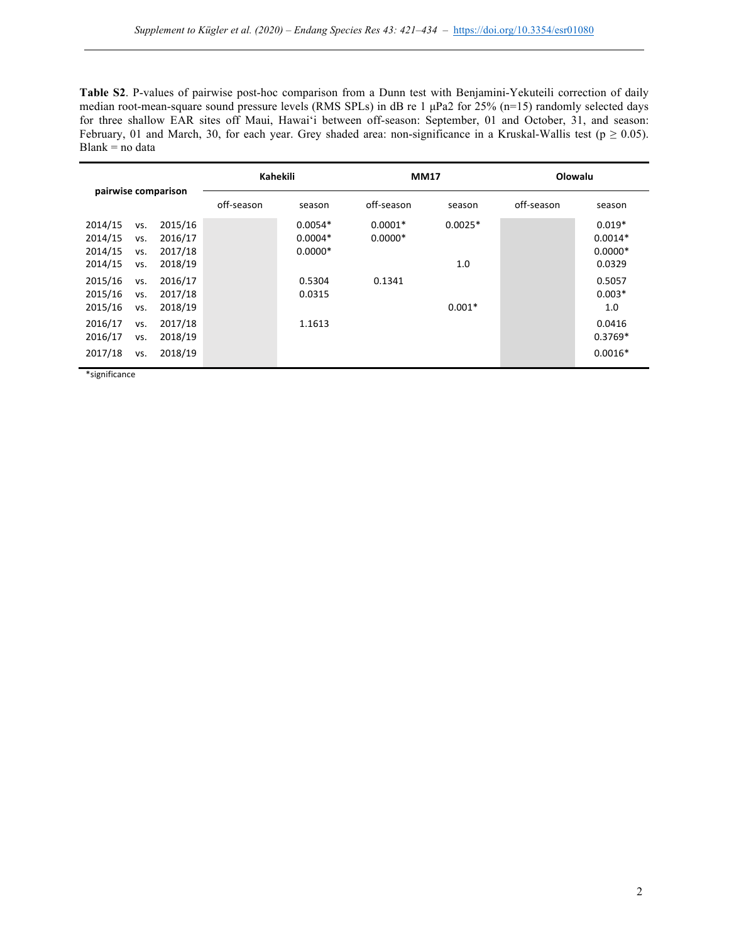**Table S2**. P-values of pairwise post-hoc comparison from a Dunn test with Benjamini-Yekuteili correction of daily median root-mean-square sound pressure levels (RMS SPLs) in dB re 1 µPa2 for 25% (n=15) randomly selected days for three shallow EAR sites off Maui, Hawaiʻi between off-season: September, 01 and October, 31, and season: February, 01 and March, 30, for each year. Grey shaded area: non-significance in a Kruskal-Wallis test ( $p \ge 0.05$ ). Blank = no data

| pairwise comparison |     | Kahekili   |        | <b>MM17</b> |           | Olowalu    |        |           |
|---------------------|-----|------------|--------|-------------|-----------|------------|--------|-----------|
|                     |     | off-season | season | off-season  | season    | off-season | season |           |
| 2014/15             | VS. | 2015/16    |        | $0.0054*$   | $0.0001*$ | $0.0025*$  |        | $0.019*$  |
| 2014/15             | VS. | 2016/17    |        | $0.0004*$   | $0.0000*$ |            |        | $0.0014*$ |
| 2014/15             | VS. | 2017/18    |        | $0.0000*$   |           |            |        | $0.0000*$ |
| 2014/15             | VS. | 2018/19    |        |             |           | 1.0        |        | 0.0329    |
| 2015/16             | VS. | 2016/17    |        | 0.5304      | 0.1341    |            |        | 0.5057    |
| 2015/16             | VS. | 2017/18    |        | 0.0315      |           |            |        | $0.003*$  |
| 2015/16             | VS. | 2018/19    |        |             |           | $0.001*$   |        | 1.0       |
| 2016/17             | VS. | 2017/18    |        | 1.1613      |           |            |        | 0.0416    |
| 2016/17             | VS. | 2018/19    |        |             |           |            |        | $0.3769*$ |
| 2017/18             | VS. | 2018/19    |        |             |           |            |        | $0.0016*$ |

\*significance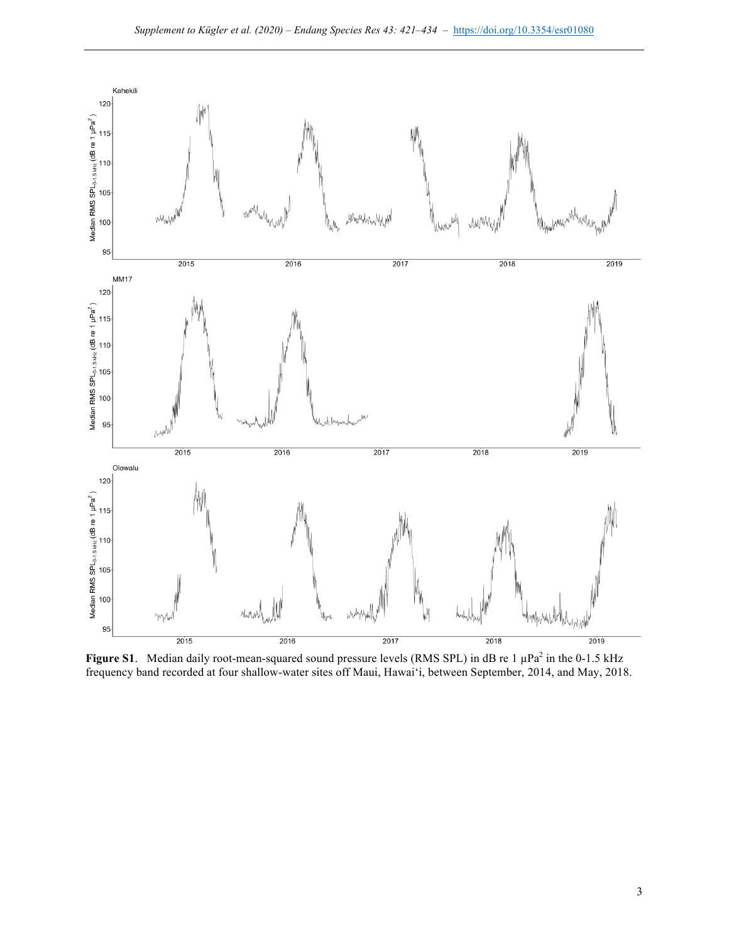

**Figure S1**. Median daily root-mean-squared sound pressure levels (RMS SPL) in dB re 1  $\mu$ Pa<sup>2</sup> in the 0-1.5 kHz frequency band recorded at four shallow-water sites off Maui, Hawaiʻi, between September, 2014, and May, 2018.